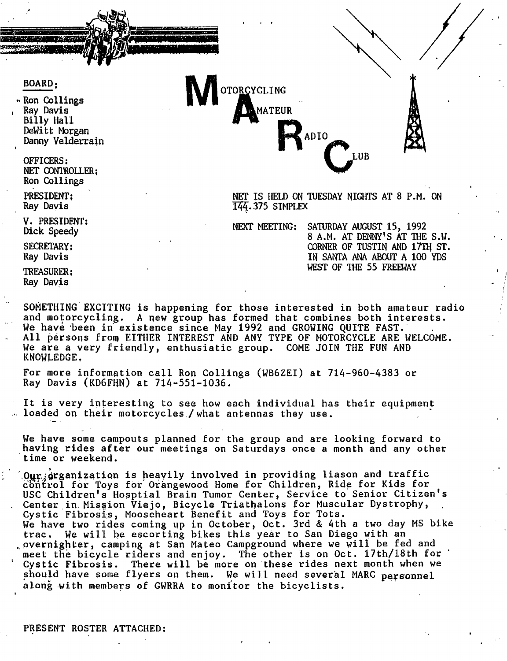BOARD

Ron Ceilings Ray Davis Billy Hall DeWitt Morgan Danny Velderrain

**TAX ADAMAY** 

OFFICERS; NET OONIROLLER; Ron Collings

PRESIDENT; Ray Davis

V. PRESIDENT; Dick Speedy

SECRETARY; Ray Davis

TREASURER; Ray Davis

otorcycling MATEUR R ADIO

> NET IS HELD ON TUESDAY NIGIFTS AT 8 P.M. ON 144.375 SIMPLEX

LUB

NEXT MEETING; SATURDAY AUGUST 15, 1992 8 A.M. AT DENNY'S AT THE S.W. CORNER OF TUSTIN AND 17TH ST. IN SANTA ANA ABOUT A 100 YDS WEST OF THE 55 FREEWAY

SOMETHING EXCITING is happening for those interested in both amateur radio and motorcycling. A new group has formed that combines both interests. We have been in existence since May 1992 and GROWING QUITE FAST. All persons from EITHER INTEREST AND ANY TYPE OF MOTORCYCLE ARE WELCOME. We are a very friendly, enthusiatic group. COME JOIN THE FUN AND KNOWLEDGE.

For more information call Ron Collings (WB6ZEI) at 714-960-4383 or Ray Davis (KD6FHN) at 714-551-1036.

It is very interesting to see how each individual has their equipment loaded on their motorcycles / what antennas they use.

We have some campouts planned for the group and are looking forward to having rides after our meetings on Saturdays once a month and any other time or weekend.

 $O_{\text{HF}}$  grganization is heavily involved in providing liason and traffic control for Toys for Orangewood Home for Children, Ride for Kids for use Children's Hosptial Brain Tumor Center, Service to Senior Citizen's Center in. Mission Viejo, Bicycle Triathalons for Muscular Dystrophy, Cystic Fibrosis, Mooseheart Benefit and Toys for Tots. We have two rides coming up in October, Oct. 3rd & 4th a two day MS bike trac. We will be escorting bikes this year to San Diego with an overnighter, camping at San Mateo Campground where we will be fed and meet the bicycle riders and enjoy. The other is on Oct. 17th/18th for Cystic Fibrosis. There will be more on these rides next month when we should have some flyers on them. We will need several MARC personnel along with members of GWRRA to monitor the bicyclists.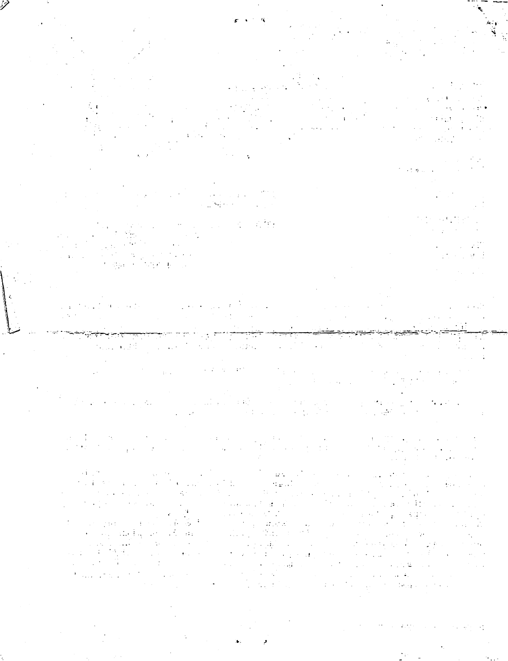$\sim$  15  $\times$  18  $\%$ 

 $\mathcal{L}_{\text{max}}$  and  $\mathcal{L}_{\text{max}}$  $\mathcal{A}^{\text{in}}$  , and the second contribution of the second contribution of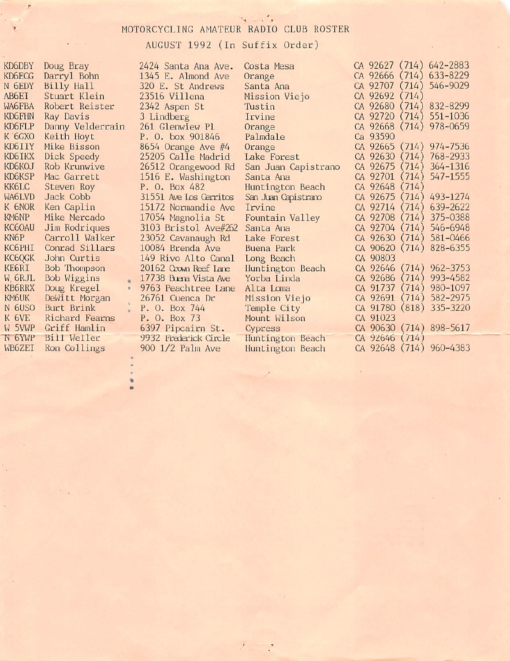## AUGUST 1992 (In Suffix Order)

| <b>KD6DBY</b>     | Doug Bray                     | 2424 Santa Ana Ave.    | Costa Mesa          | $(714)$ 642-2883<br>CA 92627                 |
|-------------------|-------------------------------|------------------------|---------------------|----------------------------------------------|
| <b>KD6ECG</b>     | Darryl Bohn                   | 1345 E. Almond Ave     | Orange              | (714)<br>633-8229<br>CA 92666                |
| N 6EDY            | Billy Hall                    | 320 E. St Andrews      | Santa Ana           | CA 92707<br>(714)<br>546-9029                |
| AB6EI             | Stuart Klein                  | 23516 Villena          | Mission Viejo       | CA 92692<br>(714)                            |
| WA6FBA            | Robert Reister                | 2342 Aspen St          | Tustin              | CA 92680<br>(714)<br>832-8299                |
| <b>KD6FHN</b>     | Ray Davis                     | 3 Lindberg             | Irvine              | CA 92720<br>(714)<br>551-1036                |
| KD6FLP            | Danny Velderrain              | 261 Glenwiew Pl        | Orange              | $(714)$ 978-0659<br>CA 92668                 |
| K 6GXO            | Keith Hoyt                    | P. O. box 901846       | Palmdale            | Ca 93590                                     |
| KD6IIY            | Mike Bisson                   | $8654$ Orange Ave $#4$ | Orange              | CA 92665<br>(714)<br>974-7536                |
| KD6IKX            | Dick Speedy                   | 25205 Calle Madrid     | Lake Forest         | (714)<br>92630<br>768-2933<br><b>CA</b>      |
| KD6KOJ            | Rob Krunwive                  | 26512 Orangewood Rd    | San Juan Capistrano | 92675<br>(714)<br>364-1316<br>C <sub>A</sub> |
| KD6KSP            | Mac Garrett                   | 1516 E. Washington     | Santa Ana           | 92701<br>(714)<br>CA<br>547-1555             |
| KK6LC             | Steven Roy                    | P. O. Box 482          | Huntington Beach    | (714)<br>CA 92648                            |
| <b>WA6LVD</b>     | Jack Cobb                     | 31551 Ave Los Cerritos | San Juan Capistrano | (714)<br>92675<br>493-1274<br><b>CA</b>      |
| K 6NOR            | Ken Caplin                    | 15172 Normandie Ave    | Irvine              | 92714<br>714)<br>639-2622<br>CA              |
| KM6NP             | Mike Mercado                  | 17054 Magnolia St      | Fountain Valley     | 92708<br>(714)<br>375-0388<br><b>CA</b>      |
| KC6OAU            | Jim Rodriques                 | 3103 Bristol Ave#262   | Santa Ana           | 92704<br>(714)<br>546-6948<br>CA             |
| KN <sub>6</sub> P | Carroll Walker                | 23052 Cavanaugh Rd     | Lake Forest         | (714)<br>92630<br>581-0466<br><b>CA</b>      |
| <b>KC6PHI</b>     | Conrad Sillars                | 10084 Brenda Ave       | Buena Park          | $(714)$ 828-6355<br>CA 90620                 |
| KC6QGK            | John Curtis                   | 149 Rivo Alto Canal    | Long Beach          | CA 90803                                     |
| KE6RI             | <b>Bob Thompson</b>           | 20162 Crown Reef Lane  | Huntington Beach    | $(714)$ 962-3753<br>92646<br><b>CA</b>       |
| W 6RJL            | <b>Bob Wiggins</b>            | 17738 Buara Vista Ave  | Yorba Linda         | 92686<br>(714)<br>993-4582<br><b>CA</b>      |
| <b>KB6RRX</b>     | Doug Kregel<br>$\mathfrak{m}$ | 9763 Peachtree Lane    | Alta Loma           | 91737<br>(714)<br>980-1097<br>CA             |
| KM6UK             | DeWitt Morgan                 | 26761 Cuenca Dr        | Mission Viejo       | (714)<br>582-2975<br>CA 92691                |
| N 6USO            | Burt Brink                    | P. O. Box 744          | Temple City         | 91780<br>$(818)$ 335-3220<br>CA              |
| K 6VE             | Richard Fearns                | P. O. Box 73           | Mount Wilson        | CA 91023                                     |
| W 5VWP            | Griff Hamlin                  | 6397 Pipcairn St.      | Cypress             | $(714)$ 898-5617<br>CA 90630                 |
| N 6YWP            | <b>Bill Weller</b>            | 9932 Fraterick Circle  | Huntington Beach    | CA 92646<br>(714)                            |
| WB6ZEI            | Ron Collings                  | 900 1/2 Palm Ave       | Huntington Beach    | CA 92648 (714) 960-4383                      |
|                   |                               |                        |                     |                                              |

\* \*